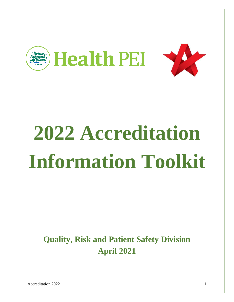

# **2022 Accreditation Information Toolkit**

**Quality, Risk and Patient Safety Division April 2021**

Accreditation 2022 1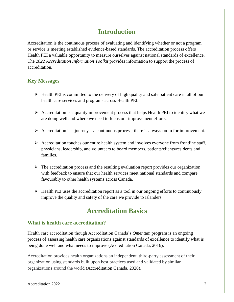## **Introduction**

Accreditation is the continuous process of evaluating and identifying whether or not a program or service is meeting established evidence-based standards. The accreditation process offers Health PEI a valuable opportunity to measure ourselves against national standards of excellence. The *2022 Accreditation Information Toolkit* provides information to support the process of accreditation.

#### **Key Messages**

- $\triangleright$  Health PEI is committed to the delivery of high quality and safe patient care in all of our health care services and programs across Health PEI.
- $\triangleright$  Accreditation is a quality improvement process that helps Health PEI to identify what we are doing well and where we need to focus our improvement efforts.
- Accreditation is a journey a continuous process; there is always room for improvement.
- $\triangleright$  Accreditation touches our entire health system and involves everyone from frontline staff, physicians, leadership, and volunteers to board members, patients/clients/residents and families.
- $\triangleright$  The accreditation process and the resulting evaluation report provides our organization with feedback to ensure that our health services meet national standards and compare favourably to other health systems across Canada.
- $\triangleright$  Health PEI uses the accreditation report as a tool in our ongoing efforts to continuously improve the quality and safety of the care we provide to Islanders.

## **Accreditation Basics**

#### **What is health care accreditation?**

Health care accreditation though Accreditation Canada's *Qmentum* program is an ongoing process of assessing health care organizations against standards of excellence to identify what is being done well and what needs to improve (Accreditation Canada, 2016).

Accreditation provides health organizations an independent, third-party assessment of their organization using standards built upon best practices used and validated by similar organizations around the world (Accreditation Canada, 2020).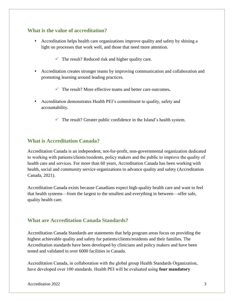#### **What is the value of accreditation?**

- Accreditation helps health care organizations improve quality and safety by shining a light on processes that work well, and those that need more attention.
	- $\checkmark$  The result? Reduced risk and higher quality care.
- Accreditation creates stronger teams by improving communication and collaboration and promoting learning around leading practices.
	- The result? More effective teams and better care outcomes**.**
- Accreditation demonstrates Health PEI's commitment to quality, safety and accountability.
	- $\checkmark$  The result? Greater public confidence in the Island's health system.

#### **What is Accreditation Canada?**

Accreditation Canada is an independent, not-for-profit, non-governmental organization dedicated to working with patients/clients/residents, policy makers and the public to improve the quality of health care and services. For more than 60 years, Accreditation Canada has been working with health, social and community service organizations to advance quality and safety (Accreditation Canada, 2021).

Accreditation Canada exists because Canadians expect high-quality health care and want to feel that health systems—from the largest to the smallest and everything in between—offer safe, quality health care.

#### **What are Accreditation Canada Standards?**

Accreditation Canada Standards are statements that help program areas focus on providing the highest achievable quality and safety for patients/clients/residents and their families. The Accreditation standards have been developed by clinicians and policy makers and have been tested and validated in over 6000 facilities in Canada.

Accreditation Canada, in collaboration with the global group Health Standards Organization, have developed over 100 standards. Health PEI will be evaluated using **four mandatory**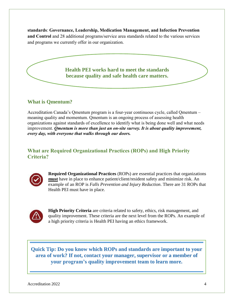**standards**: **Governance, Leadership, Medication Management, and Infection Prevention and Control** and 28 additional programs/service area standards related to the various services and programs we currently offer in our organization.

> **Health PEI works hard to meet the standards because quality and safe health care matters.**

#### **What is Qmentum?**

Accreditation Canada's Qmentum program is a four-year continuous cycle, called Qmentum – meaning quality and momentum. Qmentum is an ongoing process of assessing health organizations against standards of excellence to identify what is being done well and what needs improvement. *Qmentum is more than just an on-site survey. It is about quality improvement, every day, with everyone that walks through our doors.* 

#### **What are Required Organizational Practices (ROPs) and High Priority Criteria?**



**Required Organizational Practices** (ROPs) are essential practices that organizations **must** have in place to enhance patient/client/resident safety and minimize risk. An example of an ROP is *Falls Prevention and Injury Reduction*. There are 31 ROPs that Health PEI must have in place.



**High Priority Criteria** are criteria related to safety, ethics, risk management, and quality improvement. These criteria are the next level from the ROPs. An example of a high priority criteria is Health PEI having an ethics framework.

**Quick Tip: Do you know which ROPs and standards are important to your area of work? If not, contact your manager, supervisor or a member of your program's quality improvement team to learn more.**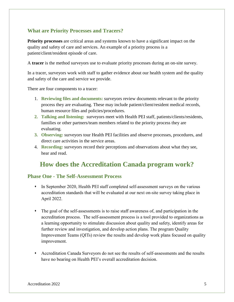#### **What are Priority Processes and Tracers?**

**Priority processes** are critical areas and systems known to have a significant impact on the quality and safety of care and services. An example of a priority process is a patient/client/resident episode of care.

A **tracer** is the method surveyors use to evaluate priority processes during an on-site survey.

In a tracer, surveyors work with staff to gather evidence about our health system and the quality and safety of the care and service we provide.

There are four components to a tracer:

- 1. **Reviewing files and documents:** surveyors review documents relevant to the priority process they are evaluating. These may include patient/client/resident medical records, human resource files and policies/procedures.
- **2. Talking and listening:** surveyors meet with Health PEI staff, patients/clients/residents, families or other partners/team members related to the priority process they are evaluating.
- **3. Observing:** surveyors tour Health PEI facilities and observe processes, procedures, and direct care activities in the service areas.
- 4. **Recording:** surveyors record their perceptions and observations about what they see, hear and read.

### **How does the Accreditation Canada program work?**

#### **Phase One - The Self-Assessment Process**

- In September 2020, Health PEI staff completed self-assessment surveys on the various accreditation standards that will be evaluated at our next on-site survey taking place in April 2022.
- The goal of the self-assessments is to raise staff awareness of, and participation in the accreditation process. The self-assessment process is a tool provided to organizations as a learning opportunity to stimulate discussion about quality and safety, identify areas for further review and investigation, and develop action plans. The program Quality Improvement Teams (QITs) review the results and develop work plans focused on quality improvement.
- Accreditation Canada Surveyors do not see the results of self-assessments and the results have no bearing on Health PEI's overall accreditation decision.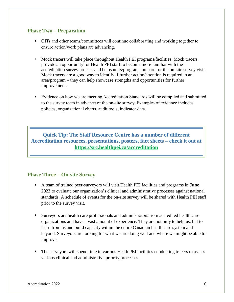#### **Phase Two – Preparation**

- QITs and other teams/committees will continue collaborating and working together to ensure action/work plans are advancing.
- Mock tracers will take place throughout Health PEI programs/facilities. Mock tracers provide an opportunity for Health PEI staff to become more familiar with the accreditation survey process and helps units/programs prepare for the on-site survey visit. Mock tracers are a good way to identify if further action/attention is required in an area/program – they can help showcase strengths and opportunities for further improvement.
- Evidence on how we are meeting Accreditation Standards will be compiled and submitted to the survey team in advance of the on-site survey. Examples of evidence includes policies, organizational charts, audit tools, indicator data.

**Quick Tip: The Staff Resource Centre has a number of different Accreditation resources, presentations, posters, fact sheets – check it out at <https://src.healthpei.ca/accreditation>**

#### **Phase Three – On-site Survey**

- A team of trained peer-surveyors will visit Health PEI facilities and programs in **June 2022** to evaluate our organization's clinical and administrative processes against national standards. A schedule of events for the on-site survey will be shared with Health PEI staff prior to the survey visit.
- Surveyors are health care professionals and administrators from accredited health care organizations and have a vast amount of experience. They are not only to help us, but to learn from us and build capacity within the entire Canadian health care system and beyond. Surveyors are looking for what we are doing well and where we might be able to improve.
- The surveyors will spend time in various Heath PEI facilities conducting tracers to assess various clinical and administrative priority processes.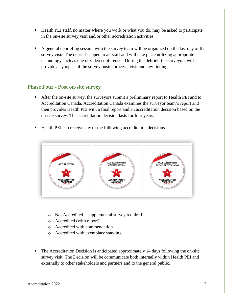- Health PEI staff, no matter where you work or what you do, may be asked to participate in the on-site survey visit and/or other accreditation activities.
- A general debriefing session with the survey team will be organized on the last day of the survey visit. The debrief is open to all staff and will take place utilizing appropriate technology such as tele or video conference. During the debrief, the surveyors will provide a synopsis of the survey onsite process, visit and key findings.

#### **Phase Four - Post on-site survey**

- After the on-site survey, the surveyors submit a preliminary report to Health PEI and to Accreditation Canada. Accreditation Canada examines the surveyor team's report and then provides Health PEI with a final report and an accreditation decision based on the on-site survey. The accreditation decision lasts for four years.
- Health PEI can receive any of the following accreditation decisions



- o Not Accredited supplemental survey required
- o Accredited (with report)
- o Accredited with commendation
- o Accredited with exemplary standing
- The Accreditation Decision is anticipated approximately 14 days following the on-site survey visit. The Decision will be communicate both internally within Health PEI and externally to other stakeholders and partners and to the general public.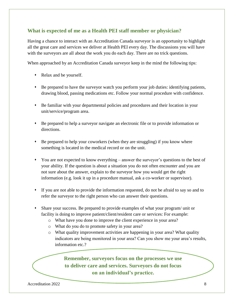#### **What is expected of me as a Health PEI staff member or physician?**

Having a chance to interact with an Accreditation Canada surveyor is an opportunity to highlight all the great care and services we deliver at Health PEI every day. The discussions you will have with the surveyors are all about the work you do each day. There are no trick questions.

When approached by an Accreditation Canada surveyor keep in the mind the following tips:

- Relax and be yourself.
- Be prepared to have the surveyor watch you perform your job duties: identifying patients, drawing blood, passing medications etc. Follow your normal procedure with confidence.
- Be familiar with your departmental policies and procedures and their location in your unit/service/program area.
- Be prepared to help a surveyor navigate an electronic file or to provide information or directions.
- Be prepared to help your coworkers (when they are struggling) if you know where something is located in the medical record or on the unit.
- You are not expected to know everything answer the surveyor's questions to the best of your ability. If the question is about a situation you do not often encounter and you are not sure about the answer, explain to the surveyor how you would get the right information (e.g. look it up in a procedure manual, ask a co-worker or supervisor).
- If you are not able to provide the information requested, do not be afraid to say so and to refer the surveyor to the right person who can answer their questions.
- Share your success. Be prepared to provide examples of what your program/ unit or facility is doing to improve patient/client/resident care or services: For example:
	- o What have you done to improve the client experience in your area?
	- o What do you do to promote safety in your area?
	- o What quality improvement activities are happening in your area? What quality indicators are being monitored in your area? Can you show me your area's results, information etc.?

**Remember, surveyors focus on the processes we use to deliver care and services. Surveyors do not focus on an individual's practice.**

Accreditation 2022 8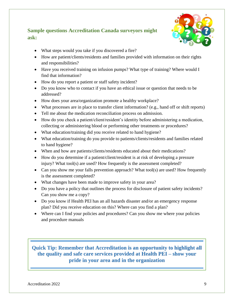#### **Sample questions Accreditation Canada surveyors might ask:**



- What steps would you take if you discovered a fire?
- How are patient/clients/residents and families provided with information on their rights and responsibilities?
- Have you received training on infusion pumps? What type of training? Where would I find that information?
- How do you report a patient or staff safety incident?
- Do you know who to contact if you have an ethical issue or question that needs to be addressed?
- How does your area/organization promote a healthy workplace?
- What processes are in place to transfer client information? (e.g., hand off or shift reports)
- Tell me about the medication reconciliation process on admission.
- How do you check a patient/client/resident's identity before administering a medication, collecting or administering blood or performing other treatments or procedures?
- What education/training did you receive related to hand hygiene?
- What education/training do you provide to patients/clients/residents and families related to hand hygiene?
- When and how are patients/clients/residents educated about their medications?
- How do you determine if a patient/client/resident is at risk of developing a pressure injury? What tool(s) are used? How frequently is the assessment completed?
- Can you show me your falls prevention approach? What tool(s) are used? How frequently is the assessment completed?
- What changes have been made to improve safety in your area?
- Do you have a policy that outlines the process for disclosure of patient safety incidents? Can you show me a copy?
- Do you know if Health PEI has an all hazards disaster and/or an emergency response plan? Did you receive education on this? Where can you find a plan?
- Where can I find your policies and procedures? Can you show me where your policies and procedure manuals

**Quick Tip: Remember that Accreditation is an opportunity to highlight all the quality and safe care services provided at Health PEI – show your pride in your area and in the organization** 

Accreditation 2022 9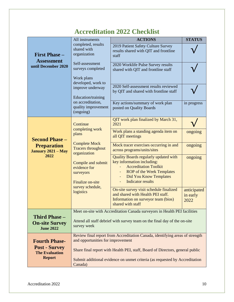## **Accreditation 2022 Checklist**

|                                                                                        | All instruments                                                                                                                                                                                                   | <b>ACTIONS</b>                                                                                                                                                                                                                   | <b>STATUS</b>                   |
|----------------------------------------------------------------------------------------|-------------------------------------------------------------------------------------------------------------------------------------------------------------------------------------------------------------------|----------------------------------------------------------------------------------------------------------------------------------------------------------------------------------------------------------------------------------|---------------------------------|
| <b>First Phase -</b><br><b>Assessment</b><br>until December 2020                       | completed, results<br>shared with<br>organization                                                                                                                                                                 | 2019 Patient Safety Culture Survey<br>results shared with QIT and frontline<br>staff                                                                                                                                             |                                 |
|                                                                                        | Self-assessment<br>surveys completed<br>Work plans<br>developed, work to<br>improve underway<br>Education/training<br>on accreditation,<br>quality improvement<br>(ongoing)                                       | 2020 Worklife Pulse Survey results<br>shared with QIT and frontline staff                                                                                                                                                        |                                 |
|                                                                                        |                                                                                                                                                                                                                   | 2020 Self-assessment results reviewed<br>by QIT and shared with frontline staff                                                                                                                                                  |                                 |
|                                                                                        |                                                                                                                                                                                                                   | Key actions/summary of work plan<br>posted on Quality Boards                                                                                                                                                                     | in progress                     |
| <b>Second Phase -</b><br><b>Preparation</b><br><b>January 2021 - May</b><br>2022       | Continue<br>completing work<br>plans<br><b>Complete Mock</b><br><b>Tracers throughout</b><br>organization<br>Compile and submit<br>evidence for<br>surveyors<br>Finalize on-site<br>survey schedule,<br>logistics | QIT work plan finalized by March 31,<br>2021                                                                                                                                                                                     |                                 |
|                                                                                        |                                                                                                                                                                                                                   | Work plans a standing agenda item on<br>all QIT meetings                                                                                                                                                                         | ongoing                         |
|                                                                                        |                                                                                                                                                                                                                   | Mock tracer exercises occurring in and<br>across programs/units/sites                                                                                                                                                            | ongoing                         |
|                                                                                        |                                                                                                                                                                                                                   | Quality Boards regularly updated with<br>key information including:<br><b>Accreditation Toolkit</b><br><b>ROP</b> of the Week Templates<br><b>Did You Know Templates</b><br>$\overline{\phantom{a}}$<br><b>Indicator results</b> | ongoing                         |
|                                                                                        |                                                                                                                                                                                                                   | On-site survey visit schedule finalized<br>and shared with Health PEI staff.<br>Information on surveyor team (bios)<br>shared with staff                                                                                         | anticipated<br>in early<br>2022 |
| <b>Third Phase -</b><br><b>On-site Survey</b><br><b>June 2022</b>                      | Meet on-site with Accreditation Canada surveyors in Health PEI facilities<br>Attend all staff debrief with survey team on the final day of the on-site<br>survey week                                             |                                                                                                                                                                                                                                  |                                 |
| <b>Fourth Phase-</b><br><b>Post - Survey</b><br><b>The Evaluation</b><br><b>Report</b> | Review final report from Accreditation Canada, identifying areas of strength<br>and opportunities for improvement                                                                                                 |                                                                                                                                                                                                                                  |                                 |
|                                                                                        | Share final report with Health PEI, staff, Board of Directors, general public                                                                                                                                     |                                                                                                                                                                                                                                  |                                 |
|                                                                                        | Submit additional evidence on unmet criteria (as requested by Accreditation<br>Canada)                                                                                                                            |                                                                                                                                                                                                                                  |                                 |